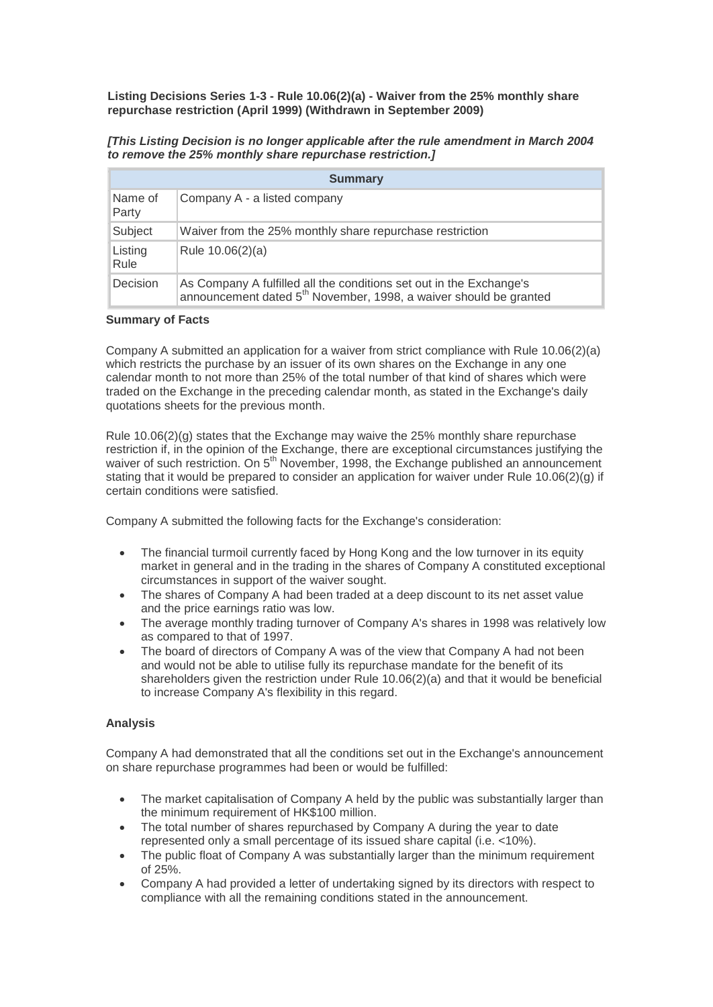**Listing Decisions Series 1-3 - Rule 10.06(2)(a) - Waiver from the 25% monthly share repurchase restriction (April 1999) (Withdrawn in September 2009)**

| [This Listing Decision is no longer applicable after the rule amendment in March 2004 |
|---------------------------------------------------------------------------------------|
| to remove the 25% monthly share repurchase restriction.]                              |

| <b>Summary</b>   |                                                                                                                                                      |
|------------------|------------------------------------------------------------------------------------------------------------------------------------------------------|
| Name of<br>Party | Company A - a listed company                                                                                                                         |
| Subject          | Waiver from the 25% monthly share repurchase restriction                                                                                             |
| Listing<br>Rule  | Rule 10.06(2)(a)                                                                                                                                     |
| Decision         | As Company A fulfilled all the conditions set out in the Exchange's<br>announcement dated 5 <sup>th</sup> November, 1998, a waiver should be granted |

## **Summary of Facts**

Company A submitted an application for a waiver from strict compliance with Rule 10.06(2)(a) which restricts the purchase by an issuer of its own shares on the Exchange in any one calendar month to not more than 25% of the total number of that kind of shares which were traded on the Exchange in the preceding calendar month, as stated in the Exchange's daily quotations sheets for the previous month.

Rule  $10.06(2)(q)$  states that the Exchange may waive the 25% monthly share repurchase restriction if, in the opinion of the Exchange, there are exceptional circumstances justifying the waiver of such restriction. On 5<sup>th</sup> November, 1998, the Exchange published an announcement stating that it would be prepared to consider an application for waiver under Rule 10.06(2)(g) if certain conditions were satisfied.

Company A submitted the following facts for the Exchange's consideration:

- The financial turmoil currently faced by Hong Kong and the low turnover in its equity market in general and in the trading in the shares of Company A constituted exceptional circumstances in support of the waiver sought.
- The shares of Company A had been traded at a deep discount to its net asset value and the price earnings ratio was low.
- The average monthly trading turnover of Company A's shares in 1998 was relatively low as compared to that of 1997.
- The board of directors of Company A was of the view that Company A had not been and would not be able to utilise fully its repurchase mandate for the benefit of its shareholders given the restriction under Rule 10.06(2)(a) and that it would be beneficial to increase Company A's flexibility in this regard.

## **Analysis**

Company A had demonstrated that all the conditions set out in the Exchange's announcement on share repurchase programmes had been or would be fulfilled:

- The market capitalisation of Company A held by the public was substantially larger than the minimum requirement of HK\$100 million.
- The total number of shares repurchased by Company A during the year to date represented only a small percentage of its issued share capital (i.e. <10%).
- The public float of Company A was substantially larger than the minimum requirement of 25%.
- Company A had provided a letter of undertaking signed by its directors with respect to compliance with all the remaining conditions stated in the announcement.